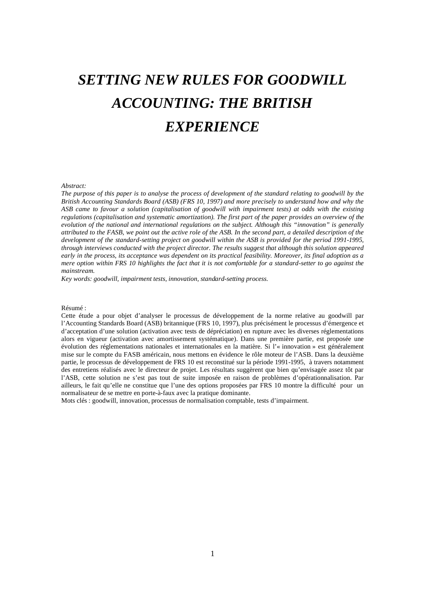# *SETTING NEW RULES FOR GOODWILL ACCOUNTING: THE BRITISH EXPERIENCE*

#### *Abstract:*

The purpose of this paper is to analyse the process of development of the standard relating to goodwill by the *British Accounting Standards Board (ASB) (FRS 10, 1997) and more precisely to understand how and why the*  ASB came to favour a solution (capitalisation of goodwill with impairment tests) at odds with the existing regulations (capitalisation and systematic amortization). The first part of the paper provides an overview of the *evolution of the national and international regulations on the subject. Although this "innovation" is generally*  attributed to the FASB, we point out the active role of the ASB. In the second part, a detailed description of the *development of the standard-setting project on goodwill within the ASB is provided for the period 1991-1995, through interviews conducted with the project director. The results suggest that although this solution appeared*  early in the process, its acceptance was dependent on its practical feasibility. Moreover, its final adoption as a mere option within FRS 10 highlights the fact that it is not comfortable for a standard-setter to go against the *mainstream.*

*Key words: goodwill, impairment tests, innovation, standard-setting process.*

#### Résumé :

Cette étude a pour objet d'analyser le processus de développement de la norme relative au goodwill par l'Accounting Standards Board (ASB) britannique (FRS 10, 1997), plus précisément le processus d'émergence et d'acceptation d'une solution (activation avec tests de dépréciation) en rupture avec les diverses réglementations alors en vigueur (activation avec amortissement systématique). Dans une première partie, est proposée une évolution des réglementations nationales et internationales en la matière. Si l'« innovation » est généralement mise sur le compte du FASB américain, nous mettons en évidence le rôle moteur de l'ASB. Dans la deuxième partie, le processus de développement de FRS 10 est reconstitué sur la période 1991-1995, à travers notamment des entretiens réalisés avec le directeur de projet. Les résultats suggèrent que bien qu'envisagée assez tôt par l'ASB, cette solution ne s'est pas tout de suite imposée en raison de problèmes d'opérationnalisation. Par ailleurs, le fait qu'elle ne constitue que l'une des options proposées par FRS 10 montre la difficulté pour un normalisateur de se mettre en porte-à-faux avec la pratique dominante.

Mots clés : goodwill, innovation, processus de normalisation comptable, tests d'impairment.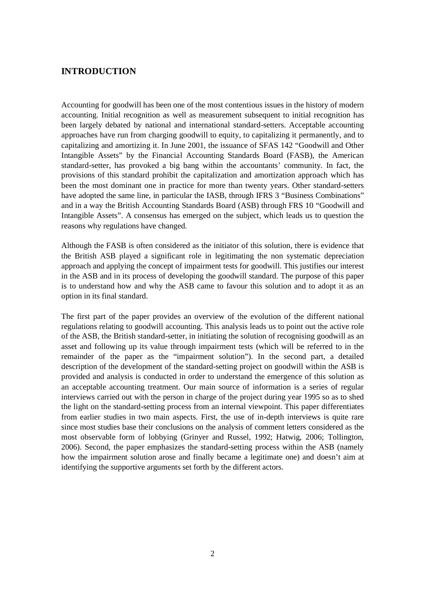## **INTRODUCTION**

Accounting for goodwill has been one of the most contentious issues in the history of modern accounting. Initial recognition as well as measurement subsequent to initial recognition has been largely debated by national and international standard-setters. Acceptable accounting approaches have run from charging goodwill to equity, to capitalizing it permanently, and to capitalizing and amortizing it. In June 2001, the issuance of SFAS 142 "Goodwill and Other Intangible Assets" by the Financial Accounting Standards Board (FASB), the American standard-setter, has provoked a big bang within the accountants' community. In fact, the provisions of this standard prohibit the capitalization and amortization approach which has been the most dominant one in practice for more than twenty years. Other standard-setters have adopted the same line, in particular the IASB, through IFRS 3 "Business Combinations" and in a way the British Accounting Standards Board (ASB) through FRS 10 "Goodwill and Intangible Assets". A consensus has emerged on the subject, which leads us to question the reasons why regulations have changed.

Although the FASB is often considered as the initiator of this solution, there is evidence that the British ASB played a significant role in legitimating the non systematic depreciation approach and applying the concept of impairment tests for goodwill. This justifies our interest in the ASB and in its process of developing the goodwill standard. The purpose of this paper is to understand how and why the ASB came to favour this solution and to adopt it as an option in its final standard.

The first part of the paper provides an overview of the evolution of the different national regulations relating to goodwill accounting. This analysis leads us to point out the active role of the ASB, the British standard-setter, in initiating the solution of recognising goodwill as an asset and following up its value through impairment tests (which will be referred to in the remainder of the paper as the "impairment solution"). In the second part, a detailed description of the development of the standard-setting project on goodwill within the ASB is provided and analysis is conducted in order to understand the emergence of this solution as an acceptable accounting treatment. Our main source of information is a series of regular interviews carried out with the person in charge of the project during year 1995 so as to shed the light on the standard-setting process from an internal viewpoint. This paper differentiates from earlier studies in two main aspects. First, the use of in-depth interviews is quite rare since most studies base their conclusions on the analysis of comment letters considered as the most observable form of lobbying (Grinyer and Russel, 1992; Hatwig, 2006; Tollington, 2006). Second, the paper emphasizes the standard-setting process within the ASB (namely how the impairment solution arose and finally became a legitimate one) and doesn't aim at identifying the supportive arguments set forth by the different actors.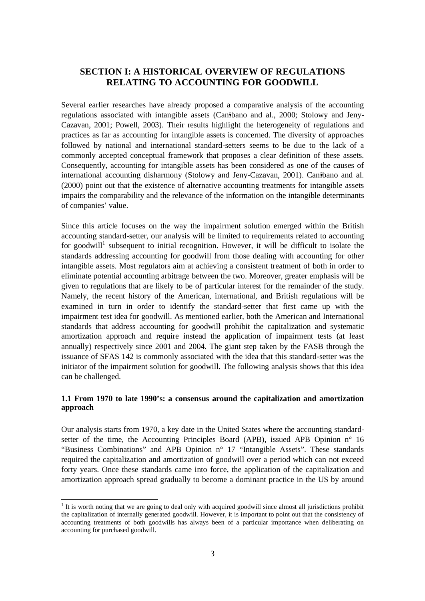# **SECTION I: A HISTORICAL OVERVIEW OF REGULATIONS RELATING TO ACCOUNTING FOR GOODWILL**

Several earlier researches have already proposed a comparative analysis of the accounting regulations associated with intangible assets (Can•ibano and al., 2000; Stolowy and Jeny-Cazavan, 2001; Powell, 2003). Their results highlight the heterogeneity of regulations and practices as far as accounting for intangible assets is concerned. The diversity of approaches followed by national and international standard-setters seems to be due to the lack of a commonly accepted conceptual framework that proposes a clear definition of these assets. Consequently, accounting for intangible assets has been considered as one of the causes of international accounting disharmony (Stolowy and Jeny-Cazavan, 2001). Canibano and al. (2000) point out that the existence of alternative accounting treatments for intangible assets impairs the comparability and the relevance of the information on the intangible determinants of companies' value.

Since this article focuses on the way the impairment solution emerged within the British accounting standard-setter, our analysis will be limited to requirements related to accounting for goodwill<sup>1</sup> subsequent to initial recognition. However, it will be difficult to isolate the standards addressing accounting for goodwill from those dealing with accounting for other intangible assets. Most regulators aim at achieving a consistent treatment of both in order to eliminate potential accounting arbitrage between the two. Moreover, greater emphasis will be given to regulations that are likely to be of particular interest for the remainder of the study. Namely, the recent history of the American, international, and British regulations will be examined in turn in order to identify the standard-setter that first came up with the impairment test idea for goodwill. As mentioned earlier, both the American and International standards that address accounting for goodwill prohibit the capitalization and systematic amortization approach and require instead the application of impairment tests (at least annually) respectively since 2001 and 2004. The giant step taken by the FASB through the issuance of SFAS 142 is commonly associated with the idea that this standard-setter was the initiator of the impairment solution for goodwill. The following analysis shows that this idea can be challenged.

## **1.1 From 1970 to late 1990's: a consensus around the capitalization and amortization approach**

Our analysis starts from 1970, a key date in the United States where the accounting standardsetter of the time, the Accounting Principles Board (APB), issued APB Opinion n° 16 "Business Combinations" and APB Opinion n° 17 "Intangible Assets". These standards required the capitalization and amortization of goodwill over a period which can not exceed forty years. Once these standards came into force, the application of the capitalization and amortization approach spread gradually to become a dominant practice in the US by around

 $1$ <sup>1</sup> It is worth noting that we are going to deal only with acquired goodwill since almost all jurisdictions prohibit the capitalization of internally generated goodwill. However, it is important to point out that the consistency of accounting treatments of both goodwills has always been of a particular importance when deliberating on accounting for purchased goodwill.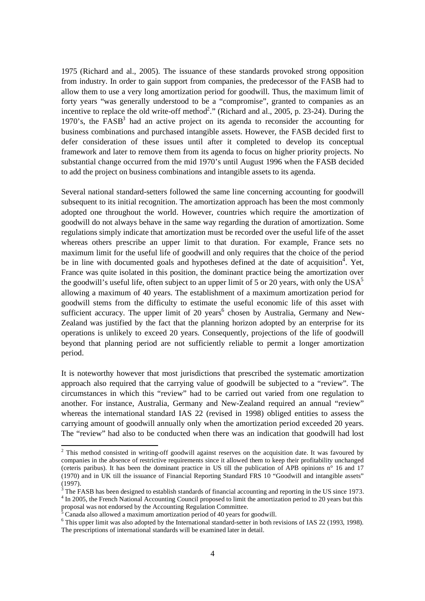1975 (Richard and al., 2005). The issuance of these standards provoked strong opposition from industry. In order to gain support from companies, the predecessor of the FASB had to allow them to use a very long amortization period for goodwill. Thus, the maximum limit of forty years "was generally understood to be a "compromise", granted to companies as an incentive to replace the old write-off method<sup>2</sup>." (Richard and al., 2005, p. 23-24). During the 1970's, the  $FASB<sup>3</sup>$  had an active project on its agenda to reconsider the accounting for business combinations and purchased intangible assets. However, the FASB decided first to defer consideration of these issues until after it completed to develop its conceptual framework and later to remove them from its agenda to focus on higher priority projects. No substantial change occurred from the mid 1970's until August 1996 when the FASB decided to add the project on business combinations and intangible assets to its agenda.

Several national standard-setters followed the same line concerning accounting for goodwill subsequent to its initial recognition. The amortization approach has been the most commonly adopted one throughout the world. However, countries which require the amortization of goodwill do not always behave in the same way regarding the duration of amortization. Some regulations simply indicate that amortization must be recorded over the useful life of the asset whereas others prescribe an upper limit to that duration. For example, France sets no maximum limit for the useful life of goodwill and only requires that the choice of the period be in line with documented goals and hypotheses defined at the date of acquisition<sup> $\overline{4}$ </sup>. Yet, France was quite isolated in this position, the dominant practice being the amortization over the goodwill's useful life, often subject to an upper limit of 5 or 20 years, with only the  $USA<sup>5</sup>$ allowing a maximum of 40 years. The establishment of a maximum amortization period for goodwill stems from the difficulty to estimate the useful economic life of this asset with sufficient accuracy. The upper limit of 20 years<sup>6</sup> chosen by Australia, Germany and New-Zealand was justified by the fact that the planning horizon adopted by an enterprise for its operations is unlikely to exceed 20 years. Consequently, projections of the life of goodwill beyond that planning period are not sufficiently reliable to permit a longer amortization period.

It is noteworthy however that most jurisdictions that prescribed the systematic amortization approach also required that the carrying value of goodwill be subjected to a "review". The circumstances in which this "review" had to be carried out varied from one regulation to another. For instance, Australia, Germany and New-Zealand required an annual "review" whereas the international standard IAS 22 (revised in 1998) obliged entities to assess the carrying amount of goodwill annually only when the amortization period exceeded 20 years. The "review" had also to be conducted when there was an indication that goodwill had lost

<sup>&</sup>lt;sup>2</sup> This method consisted in writing-off goodwill against reserves on the acquisition date. It was favoured by companies in the absence of restrictive requirements since it allowed them to keep their profitability unchanged (ceteris paribus). It has been the dominant practice in US till the publication of APB opinions n° 16 and 17 (1970) and in UK till the issuance of Financial Reporting Standard FRS 10 "Goodwill and intangible assets" (1997).

<sup>&</sup>lt;sup>3</sup> The FASB has been designed to establish standards of financial accounting and reporting in the US since 1973. <sup>4</sup> In 2005, the French National Accounting Council proposed to limit the amortization period to 20 years but this proposal was not endorsed by the Accounting Regulation Committee.

 $5 \text{ Canada}$  also allowed a maximum amortization period of 40 years for goodwill.

<sup>&</sup>lt;sup>6</sup> This upper limit was also adopted by the International standard-setter in both revisions of IAS 22 (1993, 1998). The prescriptions of international standards will be examined later in detail.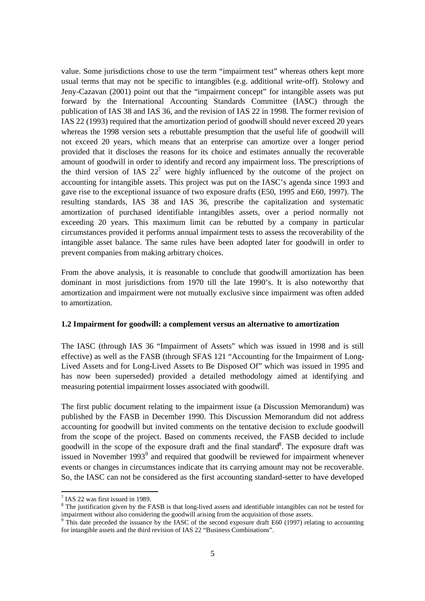value. Some jurisdictions chose to use the term "impairment test" whereas others kept more usual terms that may not be specific to intangibles (e.g. additional write-off). Stolowy and Jeny-Cazavan (2001) point out that the "impairment concept" for intangible assets was put forward by the International Accounting Standards Committee (IASC) through the publication of IAS 38 and IAS 36, and the revision of IAS 22 in 1998. The former revision of IAS 22 (1993) required that the amortization period of goodwill should never exceed 20 years whereas the 1998 version sets a rebuttable presumption that the useful life of goodwill will not exceed 20 years, which means that an enterprise can amortize over a longer period provided that it discloses the reasons for its choice and estimates annually the recoverable amount of goodwill in order to identify and record any impairment loss. The prescriptions of the third version of IAS  $22<sup>7</sup>$  were highly influenced by the outcome of the project on accounting for intangible assets. This project was put on the IASC's agenda since 1993 and gave rise to the exceptional issuance of two exposure drafts (E50, 1995 and E60, 1997). The resulting standards, IAS 38 and IAS 36, prescribe the capitalization and systematic amortization of purchased identifiable intangibles assets, over a period normally not exceeding 20 years. This maximum limit can be rebutted by a company in particular circumstances provided it performs annual impairment tests to assess the recoverability of the intangible asset balance. The same rules have been adopted later for goodwill in order to prevent companies from making arbitrary choices.

From the above analysis, it is reasonable to conclude that goodwill amortization has been dominant in most jurisdictions from 1970 till the late 1990's. It is also noteworthy that amortization and impairment were not mutually exclusive since impairment was often added to amortization.

#### **1.2 Impairment for goodwill: a complement versus an alternative to amortization**

The IASC (through IAS 36 "Impairment of Assets" which was issued in 1998 and is still effective) as well as the FASB (through SFAS 121 "Accounting for the Impairment of Long-Lived Assets and for Long-Lived Assets to Be Disposed Of" which was issued in 1995 and has now been superseded) provided a detailed methodology aimed at identifying and measuring potential impairment losses associated with goodwill.

The first public document relating to the impairment issue (a Discussion Memorandum) was published by the FASB in December 1990. This Discussion Memorandum did not address accounting for goodwill but invited comments on the tentative decision to exclude goodwill from the scope of the project. Based on comments received, the FASB decided to include goodwill in the scope of the exposure draft and the final standard<sup>8</sup>. The exposure draft was issued in November 1993 $9$  and required that goodwill be reviewed for impairment whenever events or changes in circumstances indicate that its carrying amount may not be recoverable. So, the IASC can not be considered as the first accounting standard-setter to have developed

<sup>&</sup>lt;sup>7</sup> IAS 22 was first issued in 1989.

<sup>&</sup>lt;sup>8</sup> The justification given by the FASB is that long-lived assets and identifiable intangibles can not be tested for impairment without also considering the goodwill arising from the acquisition of those assets.

<sup>&</sup>lt;sup>9</sup> This date preceded the issuance by the IASC of the second exposure draft E60 (1997) relating to accounting for intangible assets and the third revision of IAS 22 "Business Combinations".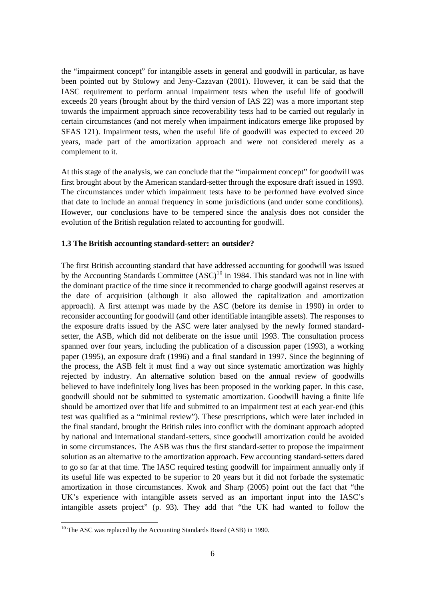the "impairment concept" for intangible assets in general and goodwill in particular, as have been pointed out by Stolowy and Jeny-Cazavan (2001). However, it can be said that the IASC requirement to perform annual impairment tests when the useful life of goodwill exceeds 20 years (brought about by the third version of IAS 22) was a more important step towards the impairment approach since recoverability tests had to be carried out regularly in certain circumstances (and not merely when impairment indicators emerge like proposed by SFAS 121). Impairment tests, when the useful life of goodwill was expected to exceed 20 years, made part of the amortization approach and were not considered merely as a complement to it.

At this stage of the analysis, we can conclude that the "impairment concept" for goodwill was first brought about by the American standard-setter through the exposure draft issued in 1993. The circumstances under which impairment tests have to be performed have evolved since that date to include an annual frequency in some jurisdictions (and under some conditions). However, our conclusions have to be tempered since the analysis does not consider the evolution of the British regulation related to accounting for goodwill.

#### **1.3 The British accounting standard-setter: an outsider?**

The first British accounting standard that have addressed accounting for goodwill was issued by the Accounting Standards Committee  $(ASC)^{10}$  in 1984. This standard was not in line with the dominant practice of the time since it recommended to charge goodwill against reserves at the date of acquisition (although it also allowed the capitalization and amortization approach). A first attempt was made by the ASC (before its demise in 1990) in order to reconsider accounting for goodwill (and other identifiable intangible assets). The responses to the exposure drafts issued by the ASC were later analysed by the newly formed standardsetter, the ASB, which did not deliberate on the issue until 1993. The consultation process spanned over four years, including the publication of a discussion paper (1993), a working paper (1995), an exposure draft (1996) and a final standard in 1997. Since the beginning of the process, the ASB felt it must find a way out since systematic amortization was highly rejected by industry. An alternative solution based on the annual review of goodwills believed to have indefinitely long lives has been proposed in the working paper. In this case, goodwill should not be submitted to systematic amortization. Goodwill having a finite life should be amortized over that life and submitted to an impairment test at each year-end (this test was qualified as a "minimal review"). These prescriptions, which were later included in the final standard, brought the British rules into conflict with the dominant approach adopted by national and international standard-setters, since goodwill amortization could be avoided in some circumstances. The ASB was thus the first standard-setter to propose the impairment solution as an alternative to the amortization approach. Few accounting standard-setters dared to go so far at that time. The IASC required testing goodwill for impairment annually only if its useful life was expected to be superior to 20 years but it did not forbade the systematic amortization in those circumstances. Kwok and Sharp (2005) point out the fact that "the UK's experience with intangible assets served as an important input into the IASC's intangible assets project" (p. 93). They add that "the UK had wanted to follow the

<sup>&</sup>lt;sup>10</sup> The ASC was replaced by the Accounting Standards Board (ASB) in 1990.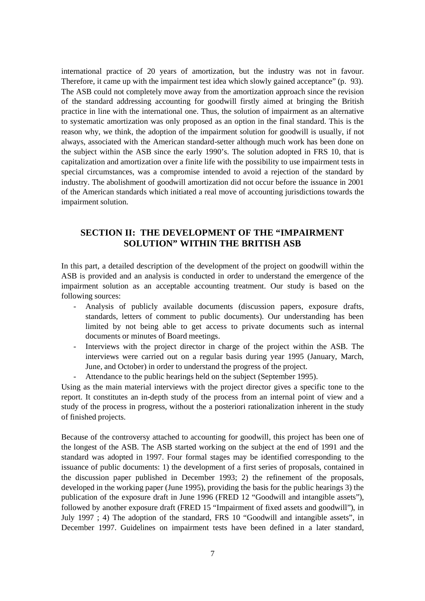international practice of 20 years of amortization, but the industry was not in favour. Therefore, it came up with the impairment test idea which slowly gained acceptance" (p. 93). The ASB could not completely move away from the amortization approach since the revision of the standard addressing accounting for goodwill firstly aimed at bringing the British practice in line with the international one. Thus, the solution of impairment as an alternative to systematic amortization was only proposed as an option in the final standard. This is the reason why, we think, the adoption of the impairment solution for goodwill is usually, if not always, associated with the American standard-setter although much work has been done on the subject within the ASB since the early 1990's. The solution adopted in FRS 10, that is capitalization and amortization over a finite life with the possibility to use impairment tests in special circumstances, was a compromise intended to avoid a rejection of the standard by industry. The abolishment of goodwill amortization did not occur before the issuance in 2001 of the American standards which initiated a real move of accounting jurisdictions towards the impairment solution.

## **SECTION II: THE DEVELOPMENT OF THE "IMPAIRMENT SOLUTION" WITHIN THE BRITISH ASB**

In this part, a detailed description of the development of the project on goodwill within the ASB is provided and an analysis is conducted in order to understand the emergence of the impairment solution as an acceptable accounting treatment. Our study is based on the following sources:

- Analysis of publicly available documents (discussion papers, exposure drafts, standards, letters of comment to public documents). Our understanding has been limited by not being able to get access to private documents such as internal documents or minutes of Board meetings.
- Interviews with the project director in charge of the project within the ASB. The interviews were carried out on a regular basis during year 1995 (January, March, June, and October) in order to understand the progress of the project.
- Attendance to the public hearings held on the subject (September 1995).

Using as the main material interviews with the project director gives a specific tone to the report. It constitutes an in-depth study of the process from an internal point of view and a study of the process in progress, without the a posteriori rationalization inherent in the study of finished projects.

Because of the controversy attached to accounting for goodwill, this project has been one of the longest of the ASB. The ASB started working on the subject at the end of 1991 and the standard was adopted in 1997. Four formal stages may be identified corresponding to the issuance of public documents: 1) the development of a first series of proposals, contained in the discussion paper published in December 1993; 2) the refinement of the proposals, developed in the working paper (June 1995), providing the basis for the public hearings 3) the publication of the exposure draft in June 1996 (FRED 12 "Goodwill and intangible assets"), followed by another exposure draft (FRED 15 "Impairment of fixed assets and goodwill"), in July 1997 ; 4) The adoption of the standard, FRS 10 "Goodwill and intangible assets", in December 1997. Guidelines on impairment tests have been defined in a later standard,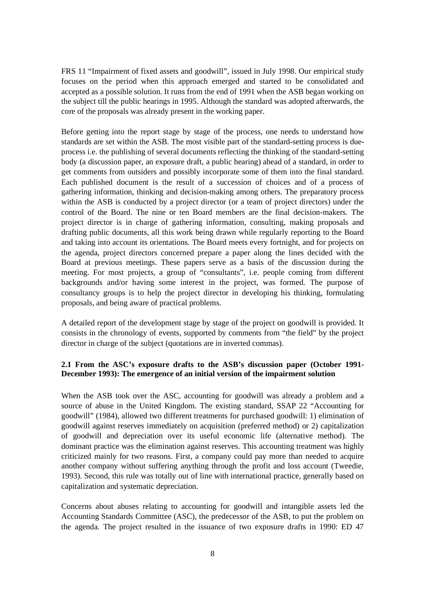FRS 11 "Impairment of fixed assets and goodwill", issued in July 1998. Our empirical study focuses on the period when this approach emerged and started to be consolidated and accepted as a possible solution. It runs from the end of 1991 when the ASB began working on the subject till the public hearings in 1995. Although the standard was adopted afterwards, the core of the proposals was already present in the working paper.

Before getting into the report stage by stage of the process, one needs to understand how standards are set within the ASB. The most visible part of the standard-setting process is dueprocess i.e. the publishing of several documents reflecting the thinking of the standard-setting body (a discussion paper, an exposure draft, a public hearing) ahead of a standard, in order to get comments from outsiders and possibly incorporate some of them into the final standard. Each published document is the result of a succession of choices and of a process of gathering information, thinking and decision-making among others. The preparatory process within the ASB is conducted by a project director (or a team of project directors) under the control of the Board. The nine or ten Board members are the final decision-makers. The project director is in charge of gathering information, consulting, making proposals and drafting public documents, all this work being drawn while regularly reporting to the Board and taking into account its orientations. The Board meets every fortnight, and for projects on the agenda, project directors concerned prepare a paper along the lines decided with the Board at previous meetings. These papers serve as a basis of the discussion during the meeting. For most projects, a group of "consultants", i.e. people coming from different backgrounds and/or having some interest in the project, was formed. The purpose of consultancy groups is to help the project director in developing his thinking, formulating proposals, and being aware of practical problems.

A detailed report of the development stage by stage of the project on goodwill is provided. It consists in the chronology of events, supported by comments from "the field" by the project director in charge of the subject (quotations are in inverted commas).

## **2.1 From the ASC's exposure drafts to the ASB's discussion paper (October 1991- December 1993): The emergence of an initial version of the impairment solution**

When the ASB took over the ASC, accounting for goodwill was already a problem and a source of abuse in the United Kingdom. The existing standard, SSAP 22 "Accounting for goodwill" (1984), allowed two different treatments for purchased goodwill: 1) elimination of goodwill against reserves immediately on acquisition (preferred method) or 2) capitalization of goodwill and depreciation over its useful economic life (alternative method). The dominant practice was the elimination against reserves. This accounting treatment was highly criticized mainly for two reasons. First, a company could pay more than needed to acquire another company without suffering anything through the profit and loss account (Tweedie, 1993). Second, this rule was totally out of line with international practice, generally based on capitalization and systematic depreciation.

Concerns about abuses relating to accounting for goodwill and intangible assets led the Accounting Standards Committee (ASC), the predecessor of the ASB, to put the problem on the agenda. The project resulted in the issuance of two exposure drafts in 1990: ED 47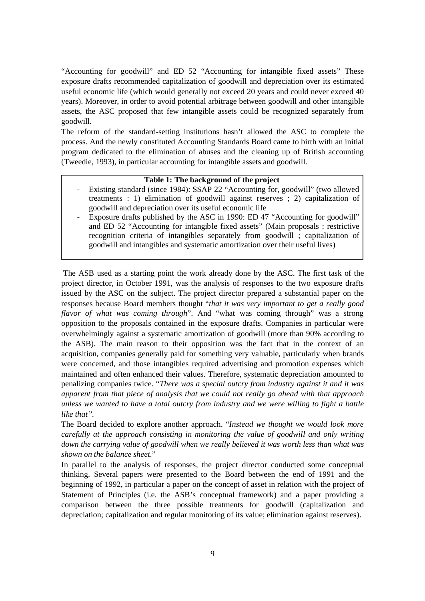"Accounting for goodwill" and ED 52 "Accounting for intangible fixed assets" These exposure drafts recommended capitalization of goodwill and depreciation over its estimated useful economic life (which would generally not exceed 20 years and could never exceed 40 years). Moreover, in order to avoid potential arbitrage between goodwill and other intangible assets, the ASC proposed that few intangible assets could be recognized separately from goodwill.

The reform of the standard-setting institutions hasn't allowed the ASC to complete the process. And the newly constituted Accounting Standards Board came to birth with an initial program dedicated to the elimination of abuses and the cleaning up of British accounting (Tweedie, 1993), in particular accounting for intangible assets and goodwill.

#### **Table 1: The background of the project**

- Existing standard (since 1984): SSAP 22 "Accounting for, goodwill" (two allowed treatments : 1) elimination of goodwill against reserves ; 2) capitalization of goodwill and depreciation over its useful economic life
- Exposure drafts published by the ASC in 1990: ED 47 "Accounting for goodwill" and ED 52 "Accounting for intangible fixed assets" (Main proposals : restrictive recognition criteria of intangibles separately from goodwill ; capitalization of goodwill and intangibles and systematic amortization over their useful lives)

The ASB used as a starting point the work already done by the ASC. The first task of the project director, in October 1991, was the analysis of responses to the two exposure drafts issued by the ASC on the subject. The project director prepared a substantial paper on the responses because Board members thought "*that it was very important to get a really good flavor of what was coming through*". And "what was coming through" was a strong opposition to the proposals contained in the exposure drafts. Companies in particular were overwhelmingly against a systematic amortization of goodwill (more than 90% according to the ASB). The main reason to their opposition was the fact that in the context of an acquisition, companies generally paid for something very valuable, particularly when brands were concerned, and those intangibles required advertising and promotion expenses which maintained and often enhanced their values. Therefore, systematic depreciation amounted to penalizing companies twice. "*There was a special outcry from industry against it and it was apparent from that piece of analysis that we could not really go ahead with that approach unless we wanted to have a total outcry from industry and we were willing to fight a battle like that".*

The Board decided to explore another approach. "*Instead we thought we would look more carefully at the approach consisting in monitoring the value of goodwill and only writing down the carrying value of goodwill when we really believed it was worth less than what was shown on the balance sheet.*"

In parallel to the analysis of responses, the project director conducted some conceptual thinking. Several papers were presented to the Board between the end of 1991 and the beginning of 1992, in particular a paper on the concept of asset in relation with the project of Statement of Principles (i.e. the ASB's conceptual framework) and a paper providing a comparison between the three possible treatments for goodwill (capitalization and depreciation; capitalization and regular monitoring of its value; elimination against reserves).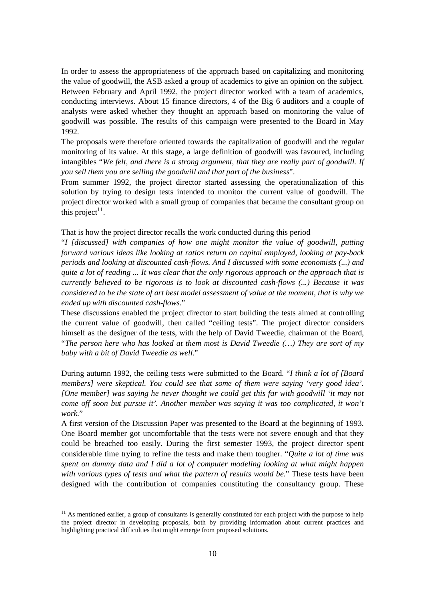In order to assess the appropriateness of the approach based on capitalizing and monitoring the value of goodwill, the ASB asked a group of academics to give an opinion on the subject. Between February and April 1992, the project director worked with a team of academics, conducting interviews. About 15 finance directors, 4 of the Big 6 auditors and a couple of analysts were asked whether they thought an approach based on monitoring the value of goodwill was possible. The results of this campaign were presented to the Board in May 1992.

The proposals were therefore oriented towards the capitalization of goodwill and the regular monitoring of its value. At this stage, a large definition of goodwill was favoured, including intangibles "*We felt, and there is a strong argument, that they are really part of goodwill. If you sell them you are selling the goodwill and that part of the business*".

From summer 1992, the project director started assessing the operationalization of this solution by trying to design tests intended to monitor the current value of goodwill. The project director worked with a small group of companies that became the consultant group on this project<sup>11</sup>.

That is how the project director recalls the work conducted during this period

"*I [discussed] with companies of how one might monitor the value of goodwill, putting forward various ideas like looking at ratios return on capital employed, looking at pay-back periods and looking at discounted cash-flows. And I discussed with some economists (...) and*  quite a lot of reading ... It was clear that the only rigorous approach or the approach that is *currently believed to be rigorous is to look at discounted cash-flows (...) Because it was*  considered to be the state of art best model assessment of value at the moment, that is why we *ended up with discounted cash-flows*."

These discussions enabled the project director to start building the tests aimed at controlling the current value of goodwill, then called "ceiling tests". The project director considers himself as the designer of the tests, with the help of David Tweedie, chairman of the Board, "*The person here who has looked at them most is David Tweedie (…) They are sort of my baby with a bit of David Tweedie as well.*"

During autumn 1992, the ceiling tests were submitted to the Board. "*I think a lot of [Board members] were skeptical. You could see that some of them were saying 'very good idea'. [One member] was saying he never thought we could get this far with goodwill 'it may not come off soon but pursue it'. Another member was saying it was too complicated, it won't work.*"

A first version of the Discussion Paper was presented to the Board at the beginning of 1993. One Board member got uncomfortable that the tests were not severe enough and that they could be breached too easily. During the first semester 1993, the project director spent considerable time trying to refine the tests and make them tougher. "*Quite a lot of time was spent on dummy data and I did a lot of computer modeling looking at what might happen with various types of tests and what the pattern of results would be.*" These tests have been designed with the contribution of companies constituting the consultancy group. These

 $11$  As mentioned earlier, a group of consultants is generally constituted for each project with the purpose to help the project director in developing proposals, both by providing information about current practices and highlighting practical difficulties that might emerge from proposed solutions.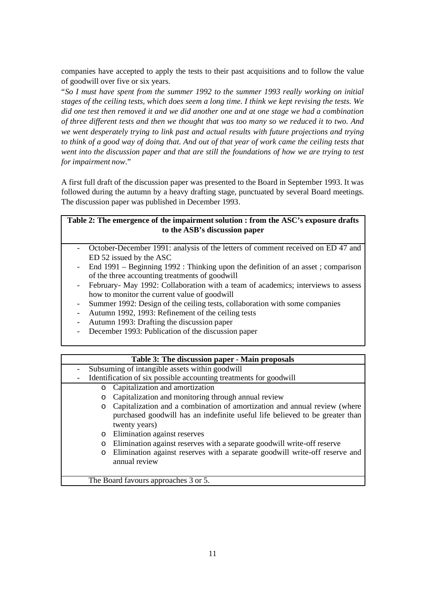companies have accepted to apply the tests to their past acquisitions and to follow the value of goodwill over five or six years.

"*So I must have spent from the summer 1992 to the summer 1993 really working on initial stages of the ceiling tests, which does seem a long time. I think we kept revising the tests. We did one test then removed it and we did another one and at one stage we had a combination*  of three different tests and then we thought that was too many so we reduced it to two. And *we went desperately trying to link past and actual results with future projections and trying*  to think of a good way of doing that. And out of that year of work came the ceiling tests that *went into the discussion paper and that are still the foundations of how we are trying to test for impairment now.*"

A first full draft of the discussion paper was presented to the Board in September 1993. It was followed during the autumn by a heavy drafting stage, punctuated by several Board meetings. The discussion paper was published in December 1993.

| Table 2: The emergence of the impairment solution : from the ASC's exposure drafts |  |
|------------------------------------------------------------------------------------|--|
| to the ASB's discussion paper                                                      |  |

- October-December 1991: analysis of the letters of comment received on ED 47 and ED 52 issued by the ASC
- End 1991 Beginning 1992 : Thinking upon the definition of an asset ; comparison of the three accounting treatments of goodwill
- February- May 1992: Collaboration with a team of academics; interviews to assess how to monitor the current value of goodwill
- Summer 1992: Design of the ceiling tests, collaboration with some companies
- Autumn 1992, 1993: Refinement of the ceiling tests
- Autumn 1993: Drafting the discussion paper
- December 1993: Publication of the discussion paper

#### **Table 3: The discussion paper - Main proposals**

Subsuming of intangible assets within goodwill Identification of six possible accounting treatments for goodwill o Capitalization and amortization o Capitalization and monitoring through annual review o Capitalization and a combination of amortization and annual review (where purchased goodwill has an indefinite useful life believed to be greater than twenty years) o Elimination against reserves o Elimination against reserves with a separate goodwill write-off reserve o Elimination against reserves with a separate goodwill write-off reserve and annual review The Board favours approaches 3 or 5.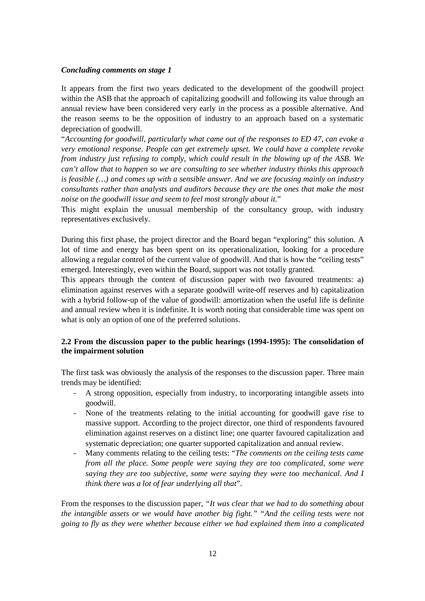#### *Concluding comments on stage 1*

It appears from the first two years dedicated to the development of the goodwill project within the ASB that the approach of capitalizing goodwill and following its value through an annual review have been considered very early in the process as a possible alternative. And the reason seems to be the opposition of industry to an approach based on a systematic depreciation of goodwill.

"*Accounting for goodwill, particularly what came out of the responses to ED 47, can evoke a very emotional response. People can get extremely upset. We could have a complete revoke from industry just refusing to comply, which could result in the blowing up of the ASB. We can't allow that to happen so we are consulting to see whether industry thinks this approach is feasible (…) and comes up with a sensible answer. And we are focusing mainly on industry consultants rather than analysts and auditors because they are the ones that make the most noise on the goodwill issue and seem to feel most strongly about it.*"

This might explain the unusual membership of the consultancy group, with industry representatives exclusively.

During this first phase, the project director and the Board began "exploring" this solution. A lot of time and energy has been spent on its operationalization, looking for a procedure allowing a regular control of the current value of goodwill. And that is how the "ceiling tests" emerged. Interestingly, even within the Board, support was not totally granted.

This appears through the content of discussion paper with two favoured treatments: a) elimination against reserves with a separate goodwill write-off reserves and b) capitalization with a hybrid follow-up of the value of goodwill: amortization when the useful life is definite and annual review when it is indefinite. It is worth noting that considerable time was spent on what is only an option of one of the preferred solutions.

### **2.2 From the discussion paper to the public hearings (1994-1995): The consolidation of the impairment solution**

The first task was obviously the analysis of the responses to the discussion paper. Three main trends may be identified:

- A strong opposition, especially from industry, to incorporating intangible assets into goodwill.
- None of the treatments relating to the initial accounting for goodwill gave rise to massive support. According to the project director, one third of respondents favoured elimination against reserves on a distinct line; one quarter favoured capitalization and systematic depreciation; one quarter supported capitalization and annual review.
- Many comments relating to the ceiling tests: "*The comments on the ceiling tests came from all the place. Some people were saying they are too complicated, some were saying they are too subjective, some were saying they were too mechanical. And I think there was a lot of fear underlying all that*".

From the responses to the discussion paper, *"It was clear that we had to do something about the intangible assets or we would have another big fight." "And the ceiling tests were not going to fly as they were whether because either we had explained them into a complicated*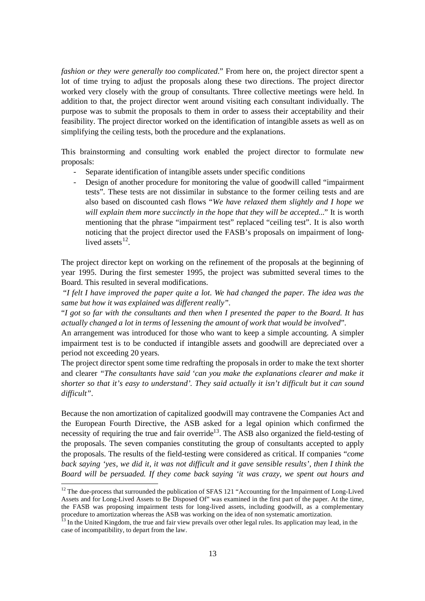*fashion or they were generally too complicated.*" From here on, the project director spent a lot of time trying to adjust the proposals along these two directions. The project director worked very closely with the group of consultants. Three collective meetings were held. In addition to that, the project director went around visiting each consultant individually. The purpose was to submit the proposals to them in order to assess their acceptability and their feasibility. The project director worked on the identification of intangible assets as well as on simplifying the ceiling tests, both the procedure and the explanations.

This brainstorming and consulting work enabled the project director to formulate new proposals:

- Separate identification of intangible assets under specific conditions
- Design of another procedure for monitoring the value of goodwill called "impairment tests". These tests are not dissimilar in substance to the former ceiling tests and are also based on discounted cash flows "*We have relaxed them slightly and I hope we will explain them more succinctly in the hope that they will be accepted...*" It is worth mentioning that the phrase "impairment test" replaced "ceiling test". It is also worth noticing that the project director used the FASB's proposals on impairment of longlived assets $^{12}$ .

The project director kept on working on the refinement of the proposals at the beginning of year 1995. During the first semester 1995, the project was submitted several times to the Board. This resulted in several modifications.

"*I felt I have improved the paper quite a lot. We had changed the paper. The idea was the same but how it was explained was different really"*.

"I got so far with the consultants and then when I presented the paper to the Board. It has *actually changed a lot in terms of lessening the amount of work that would be involved*".

An arrangement was introduced for those who want to keep a simple accounting. A simpler impairment test is to be conducted if intangible assets and goodwill are depreciated over a period not exceeding 20 years.

The project director spent some time redrafting the proposals in order to make the text shorter and clearer *"The consultants have said 'can you make the explanations clearer and make it shorter so that it's easy to understand'. They said actually it isn't difficult but it can sound difficult".*

Because the non amortization of capitalized goodwill may contravene the Companies Act and the European Fourth Directive, the ASB asked for a legal opinion which confirmed the necessity of requiring the true and fair override<sup>13</sup>. The ASB also organized the field-testing of the proposals. The seven companies constituting the group of consultants accepted to apply the proposals. The results of the field-testing were considered as critical. If companies "*come* back saying 'yes, we did it, it was not difficult and it gave sensible results', then I think the *Board will be persuaded. If they come back saying 'it was crazy, we spent out hours and* 

<sup>&</sup>lt;sup>12</sup> The due-process that surrounded the publication of SFAS 121 "Accounting for the Impairment of Long-Lived Assets and for Long-Lived Assets to Be Disposed Of" was examined in the first part of the paper. At the time, the FASB was proposing impairment tests for long-lived assets, including goodwill, as a complementary procedure to amortization whereas the ASB was working on the idea of non systematic amortization.

<sup>&</sup>lt;sup>13</sup> In the United Kingdom, the true and fair view prevails over other legal rules. Its application may lead, in the case of incompatibility, to depart from the law.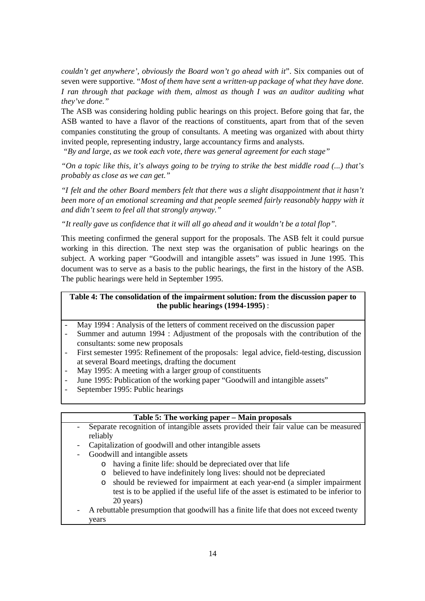*couldn't get anywhere', obviously the Board won't go ahead with it*". Six companies out of seven were supportive. "*Most of them have sent a written-up package of what they have done. I ran through that package with them, almost as though I was an auditor auditing what they've done."*

The ASB was considering holding public hearings on this project. Before going that far, the ASB wanted to have a flavor of the reactions of constituents, apart from that of the seven companies constituting the group of consultants. A meeting was organized with about thirty invited people, representing industry, large accountancy firms and analysts.

*"By and large, as we took each vote, there was general agreement for each stage"*

"On a topic like this, it's always going to be trying to strike the best middle road  $(...)$  that's *probably as close as we can get."* 

*"I felt and the other Board members felt that there was a slight disappointment that it hasn't been more of an emotional screaming and that people seemed fairly reasonably happy with it and didn't seem to feel all that strongly anyway."*

*"It really gave us confidence that it will all go ahead and it wouldn't be a total flop".*

This meeting confirmed the general support for the proposals. The ASB felt it could pursue working in this direction. The next step was the organisation of public hearings on the subject. A working paper "Goodwill and intangible assets" was issued in June 1995. This document was to serve as a basis to the public hearings, the first in the history of the ASB. The public hearings were held in September 1995.

## **Table 4: The consolidation of the impairment solution: from the discussion paper to the public hearings (1994-1995)** :

- May 1994 : Analysis of the letters of comment received on the discussion paper
- Summer and autumn 1994 : Adjustment of the proposals with the contribution of the consultants: some new proposals
- First semester 1995: Refinement of the proposals: legal advice, field-testing, discussion at several Board meetings, drafting the document
- May 1995: A meeting with a larger group of constituents
- June 1995: Publication of the working paper "Goodwill and intangible assets"
- September 1995: Public hearings

## **Table 5: The working paper – Main proposals**

- Separate recognition of intangible assets provided their fair value can be measured reliably
	- Capitalization of goodwill and other intangible assets
- Goodwill and intangible assets
	- o having a finite life: should be depreciated over that life
	- o believed to have indefinitely long lives: should not be depreciated
	- o should be reviewed for impairment at each year-end (a simpler impairment test is to be applied if the useful life of the asset is estimated to be inferior to 20 years)
- A rebuttable presumption that goodwill has a finite life that does not exceed twenty years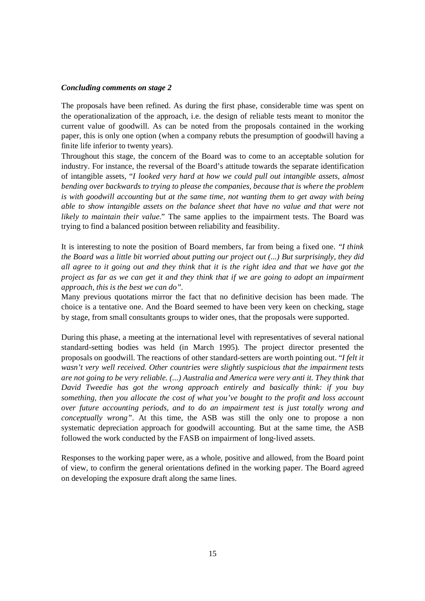#### *Concluding comments on stage 2*

The proposals have been refined. As during the first phase, considerable time was spent on the operationalization of the approach, i.e. the design of reliable tests meant to monitor the current value of goodwill. As can be noted from the proposals contained in the working paper, this is only one option (when a company rebuts the presumption of goodwill having a finite life inferior to twenty years).

Throughout this stage, the concern of the Board was to come to an acceptable solution for industry. For instance, the reversal of the Board's attitude towards the separate identification of intangible assets, "*I looked very hard at how we could pull out intangible assets, almost bending over backwards to trying to please the companies, because that is where the problem is with goodwill accounting but at the same time, not wanting them to get away with being able to show intangible assets on the balance sheet that have no value and that were not likely to maintain their value.*" The same applies to the impairment tests. The Board was trying to find a balanced position between reliability and feasibility.

It is interesting to note the position of Board members, far from being a fixed one. *"I think the Board was a little bit worried about putting our project out (...) But surprisingly, they did*  all agree to it going out and they think that it is the right idea and that we have got the project as far as we can get it and they think that if we are going to adopt an impairment *approach, this is the best we can do".*

Many previous quotations mirror the fact that no definitive decision has been made. The choice is a tentative one. And the Board seemed to have been very keen on checking, stage by stage, from small consultants groups to wider ones, that the proposals were supported.

During this phase, a meeting at the international level with representatives of several national standard-setting bodies was held (in March 1995). The project director presented the proposals on goodwill. The reactions of other standard-setters are worth pointing out. "*I felt it wasn't very well received. Other countries were slightly suspicious that the impairment tests are not going to be very reliable. (...) Australia and America were very anti it. They think that David Tweedie has got the wrong approach entirely and basically think: if you buy something, then you allocate the cost of what you've bought to the profit and loss account over future accounting periods, and to do an impairment test is just totally wrong and conceptually wrong"*. At this time, the ASB was still the only one to propose a non systematic depreciation approach for goodwill accounting. But at the same time, the ASB followed the work conducted by the FASB on impairment of long-lived assets.

Responses to the working paper were, as a whole, positive and allowed, from the Board point of view, to confirm the general orientations defined in the working paper. The Board agreed on developing the exposure draft along the same lines.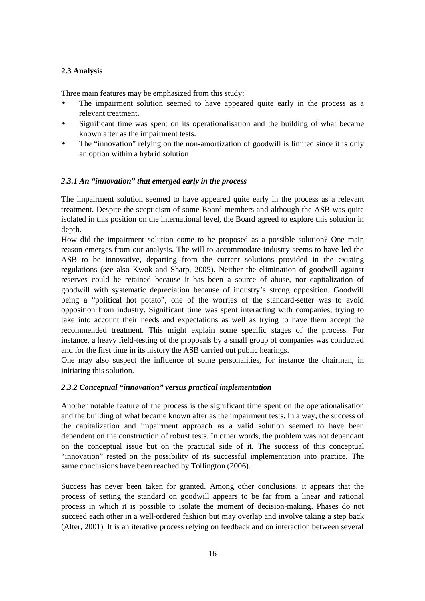## **2.3 Analysis**

Three main features may be emphasized from this study:

- The impairment solution seemed to have appeared quite early in the process as a relevant treatment.
- Significant time was spent on its operationalisation and the building of what became known after as the impairment tests.
- The "innovation" relying on the non-amortization of goodwill is limited since it is only an option within a hybrid solution

### *2.3.1 An "innovation" that emerged early in the process*

The impairment solution seemed to have appeared quite early in the process as a relevant treatment. Despite the scepticism of some Board members and although the ASB was quite isolated in this position on the international level, the Board agreed to explore this solution in depth.

How did the impairment solution come to be proposed as a possible solution? One main reason emerges from our analysis. The will to accommodate industry seems to have led the ASB to be innovative, departing from the current solutions provided in the existing regulations (see also Kwok and Sharp, 2005). Neither the elimination of goodwill against reserves could be retained because it has been a source of abuse, nor capitalization of goodwill with systematic depreciation because of industry's strong opposition. Goodwill being a "political hot potato", one of the worries of the standard-setter was to avoid opposition from industry. Significant time was spent interacting with companies, trying to take into account their needs and expectations as well as trying to have them accept the recommended treatment. This might explain some specific stages of the process. For instance, a heavy field-testing of the proposals by a small group of companies was conducted and for the first time in its history the ASB carried out public hearings.

One may also suspect the influence of some personalities, for instance the chairman, in initiating this solution.

#### *2.3.2 Conceptual "innovation" versus practical implementation*

Another notable feature of the process is the significant time spent on the operationalisation and the building of what became known after as the impairment tests. In a way, the success of the capitalization and impairment approach as a valid solution seemed to have been dependent on the construction of robust tests. In other words, the problem was not dependant on the conceptual issue but on the practical side of it. The success of this conceptual "innovation" rested on the possibility of its successful implementation into practice. The same conclusions have been reached by Tollington (2006).

Success has never been taken for granted. Among other conclusions, it appears that the process of setting the standard on goodwill appears to be far from a linear and rational process in which it is possible to isolate the moment of decision-making. Phases do not succeed each other in a well-ordered fashion but may overlap and involve taking a step back (Alter, 2001). It is an iterative process relying on feedback and on interaction between several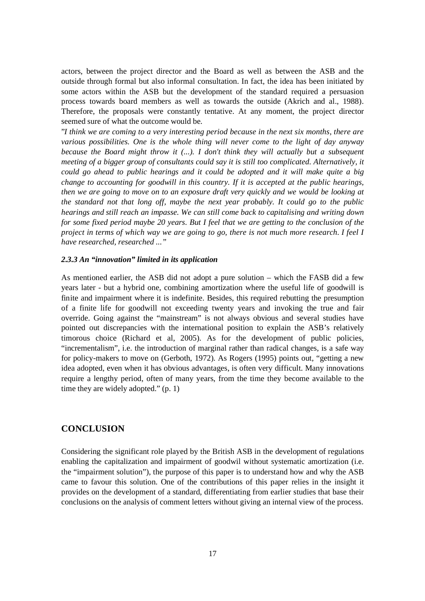actors, between the project director and the Board as well as between the ASB and the outside through formal but also informal consultation. In fact, the idea has been initiated by some actors within the ASB but the development of the standard required a persuasion process towards board members as well as towards the outside (Akrich and al., 1988). Therefore, the proposals were constantly tentative. At any moment, the project director seemed sure of what the outcome would be.

"*I think we are coming to a very interesting period because in the next six months, there are various possibilities. One is the whole thing will never come to the light of day anyway because the Board might throw it (...). I don't think they will actually but a subsequent meeting of a bigger group of consultants could say it is still too complicated. Alternatively, it could go ahead to public hearings and it could be adopted and it will make quite a big change to accounting for goodwill in this country. If it is accepted at the public hearings, then we are going to move on to an exposure draft very quickly and we would be looking at the standard not that long off, maybe the next year probably. It could go to the public hearings and still reach an impasse. We can still come back to capitalising and writing down*  for some fixed period maybe 20 years. But I feel that we are getting to the conclusion of the project in terms of which way we are going to go, there is not much more research. I feel I *have researched, researched ..."*

#### *2.3.3 An "innovation" limited in its application*

As mentioned earlier, the ASB did not adopt a pure solution – which the FASB did a few years later - but a hybrid one, combining amortization where the useful life of goodwill is finite and impairment where it is indefinite. Besides, this required rebutting the presumption of a finite life for goodwill not exceeding twenty years and invoking the true and fair override. Going against the "mainstream" is not always obvious and several studies have pointed out discrepancies with the international position to explain the ASB's relatively timorous choice (Richard et al, 2005). As for the development of public policies, "incrementalism", i.e. the introduction of marginal rather than radical changes, is a safe way for policy-makers to move on (Gerboth, 1972). As Rogers (1995) points out, "getting a new idea adopted, even when it has obvious advantages, is often very difficult. Many innovations require a lengthy period, often of many years, from the time they become available to the time they are widely adopted." (p. 1)

## **CONCLUSION**

Considering the significant role played by the British ASB in the development of regulations enabling the capitalization and impairment of goodwil without systematic amortization (i.e. the "impairment solution"), the purpose of this paper is to understand how and why the ASB came to favour this solution. One of the contributions of this paper relies in the insight it provides on the development of a standard, differentiating from earlier studies that base their conclusions on the analysis of comment letters without giving an internal view of the process.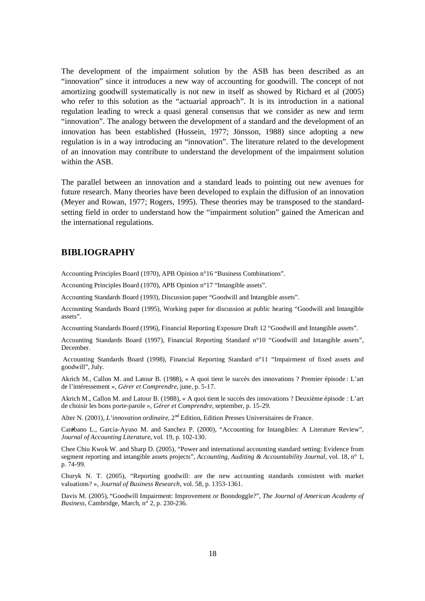The development of the impairment solution by the ASB has been described as an "innovation" since it introduces a new way of accounting for goodwill. The concept of not amortizing goodwill systematically is not new in itself as showed by Richard et al (2005) who refer to this solution as the "actuarial approach". It is its introduction in a national regulation leading to wreck a quasi general consensus that we consider as new and term "innovation". The analogy between the development of a standard and the development of an innovation has been established (Hussein, 1977; Jönsson, 1988) since adopting a new regulation is in a way introducing an "innovation". The literature related to the development of an innovation may contribute to understand the development of the impairment solution within the ASB.

The parallel between an innovation and a standard leads to pointing out new avenues for future research. Many theories have been developed to explain the diffusion of an innovation (Meyer and Rowan, 1977; Rogers, 1995). These theories may be transposed to the standardsetting field in order to understand how the "impairment solution" gained the American and the international regulations.

## **BIBLIOGRAPHY**

Accounting Principles Board (1970), APB Opinion n°16 "Business Combinations".

Accounting Principles Board (1970), APB Opinion n°17 "Intangible assets".

Accounting Standards Board (1993), Discussion paper "Goodwill and Intangible assets".

Accounting Standards Board (1995), Working paper for discussion at public hearing "Goodwill and Intangible assets".

Accounting Standards Board (1996), Financial Reporting Exposure Draft 12 "Goodwill and Intangible assets".

Accounting Standards Board (1997), Financial Reporting Standard n°10 "Goodwill and Intangible assets", December.

Accounting Standards Board (1998), Financial Reporting Standard n°11 "Impairment of fixed assets and goodwill", July.

Akrich M., Callon M. and Latour B. (1988), « A quoi tient le succès des innovations ? Premier épisode : L'art de l'intéressement », *Gérer et Comprendre*, june, p. 5-17.

Akrich M., Callon M. and Latour B. (1988), « A quoi tient le succès des innovations ? Deuxième épisode : L'art de choisir les bons porte-parole », *Gérer et Comprendre*, september, p. 15-29.

Alter N. (2001), *L'innovation ordinaire*, 2<sup>nd</sup> Edition, Edition Presses Universitaires de France.

Canibano L., Garcia-Ayuso M. and Sanchez P. (2000), "Accounting for Intangibles: A Literature Review", *Journal of Accounting Literature*, vol. 19, p. 102-130.

Chee Chiu Kwok W. and Sharp D. (2005), "Power and international accounting standard setting: Evidence from segment reporting and intangible assets projects", *Accounting, Auditing & Accountability Journal*, vol. 18, n° 1, p. 74-99.

Churyk N. T. (2005), "Reporting goodwill: are the new accounting standards consistent with market valuations? », *Journal of Business Research*, vol. 58, p. 1353-1361.

Davis M. (2005), "Goodwill Impairment: Improvement or Boondoggle?", *The Journal of American Academy of Business*, Cambridge, March, n° 2, p. 230-236.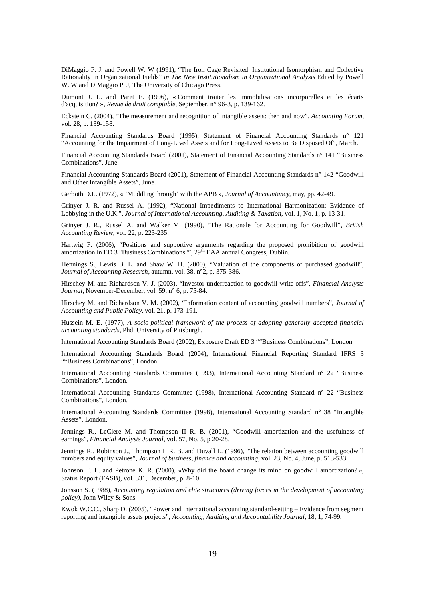DiMaggio P. J. and Powell W. W (1991), "The Iron Cage Revisited: Institutional Isomorphism and Collective Rationality in Organizational Fields" *in The New Institutionalism in Organizational Analysis* Edited by Powell W. W and DiMaggio P. J, The University of Chicago Press.

Dumont J. L. and Paret E. (1996), « Comment traiter les immobilisations incorporelles et les écarts d'acquisition? », *Revue de droit comptable*, September, n° 96-3, p. 139-162.

Eckstein C. (2004), "The measurement and recognition of intangible assets: then and now", *Accounting Forum*, vol. 28, p. 139-158.

Financial Accounting Standards Board (1995), Statement of Financial Accounting Standards n° 121 "Accounting for the Impairment of Long-Lived Assets and for Long-Lived Assets to Be Disposed Of", March.

Financial Accounting Standards Board (2001), Statement of Financial Accounting Standards n° 141 "Business Combinations", June.

Financial Accounting Standards Board (2001), Statement of Financial Accounting Standards n° 142 "Goodwill and Other Intangible Assets", June.

Gerboth D.L. (1972), « 'Muddling through' with the APB », *Journal of Accountancy*, may, pp. 42-49.

Grinyer J. R. and Russel A. (1992), "National Impediments to International Harmonization: Evidence of Lobbying in the U.K.", *Journal of International Accounting, Auditing & Taxation*, vol. 1, No. 1, p. 13-31.

Grinyer J. R., Russel A. and Walker M. (1990), "The Rationale for Accounting for Goodwill", *British Accounting Review*, vol. 22, p. 223-235.

Hartwig F. (2006), "Positions and supportive arguments regarding the proposed prohibition of goodwill amortization in ED 3 "Business Combinations"", 29<sup>th</sup> EAA annual Congress, Dublin.

Hennings S., Lewis B. L. and Shaw W. H. (2000), "Valuation of the components of purchased goodwill", *Journal of Accounting Research*, autumn, vol. 38, n°2, p. 375-386.

Hirschey M. and Richardson V. J. (2003), "Investor underreaction to goodwill write-offs", *Financial Analysts Journal*, November-December, vol. 59, n° 6, p. 75-84.

Hirschey M. and Richardson V. M. (2002), "Information content of accounting goodwill numbers", *Journal of Accounting and Public Policy*, vol. 21, p. 173-191.

Hussein M. E. (1977), *A socio-political framework of the process of adopting generally accepted financial accounting standards*, Phd, University of Pittsburgh.

International Accounting Standards Board (2002), Exposure Draft ED 3 ""Business Combinations", London

International Accounting Standards Board (2004), International Financial Reporting Standard IFRS 3 ""Business Combinations", London.

International Accounting Standards Committee (1993), International Accounting Standard n° 22 "Business Combinations", London.

International Accounting Standards Committee (1998), International Accounting Standard n° 22 "Business Combinations", London.

International Accounting Standards Committee (1998), International Accounting Standard n° 38 "Intangible Assets", London.

Jennings R., LeClere M. and Thompson II R. B. (2001), "Goodwill amortization and the usefulness of earnings", *Financial Analysts Journal*, vol. 57, No. 5, p 20-28.

Jennings R., Robinson J., Thompson II R. B. and Duvall L. (1996), "The relation between accounting goodwill numbers and equity values", *Journal of business, finance and accounting*, vol. 23, No. 4, June, p. 513-533.

Johnson T. L. and Petrone K. R. (2000), «Why did the board change its mind on goodwill amortization? », Status Report (FASB), vol. 331, December, p. 8-10.

Jönsson S. (1988), *Accounting regulation and elite structures (driving forces in the development of accounting policy)*, John Wiley & Sons.

Kwok W.C.C., Sharp D. (2005), "Power and international accounting standard-setting – Evidence from segment reporting and intangible assets projects", *Accounting, Auditing and Accountability Journal,* 18, 1, 74-99.